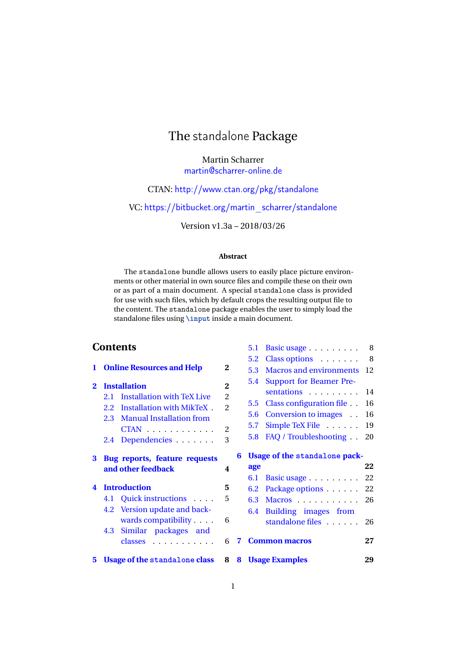# The standalone Package

Martin Scharrer [martin@scharrer-online.de](mailto:martin@scharrer-online.de)

CTAN: <http://www.ctan.org/pkg/standalone>

VC: [https://bitbucket.org/martin\\_scharrer/standalone](https://bitbucket.org/martin_scharrer/standalone)

Version v1.3a – 2018/03/26

#### **Abstract**

The standalone bundle allows users to easily place picture environments or other material in own source files and compile these on their own or as part of a main document. A special standalone class is provided for use with such files, which by default crops the resulting output file to the content. The standalone package enables the user to simply load the standalone files using **\input** inside a main document.

[5.1 Basic usage](#page-7-1) . . . . . . . . . 8

## **Contents**

|              |                                                                                                                                                                                       |                                                                     |   | 5.2 Class options                                                                                                                                                                                      | - 8                        |
|--------------|---------------------------------------------------------------------------------------------------------------------------------------------------------------------------------------|---------------------------------------------------------------------|---|--------------------------------------------------------------------------------------------------------------------------------------------------------------------------------------------------------|----------------------------|
| 1            | <b>Online Resources and Help</b>                                                                                                                                                      | $\bf{2}$                                                            |   | <b>Macros and environments</b><br>5.3                                                                                                                                                                  | -12                        |
| $\mathbf{2}$ | <b>Installation</b><br><b>Installation with TeX Live</b><br>2.1<br><b>Installation with MikTeX.</b><br>2.2<br><b>Manual Installation from</b><br>2.3<br>$CTAN$<br>Dependencies<br>2.4 | $\bf{2}$<br>$\overline{2}$<br>$\overline{2}$<br>$\overline{2}$<br>3 |   | <b>Support for Beamer Pre-</b><br>5.4<br>sentations<br>Class configuration file<br>$5.5^{\circ}$<br>Conversion to images<br>5.6<br>Simple TeX File<br>5.7<br>FAQ / Troubleshooting<br>5.8 <sub>1</sub> | 14<br>16<br>16<br>19<br>20 |
| 3            | Bug reports, feature requests                                                                                                                                                         |                                                                     | 6 | Usage of the standalone pack-                                                                                                                                                                          |                            |
|              | and other feedback                                                                                                                                                                    | $\overline{\mathbf{4}}$                                             |   | age                                                                                                                                                                                                    | 22                         |
|              |                                                                                                                                                                                       |                                                                     |   |                                                                                                                                                                                                        |                            |
|              |                                                                                                                                                                                       |                                                                     |   | Basic usage<br>6.1                                                                                                                                                                                     | 22                         |
| 4            | <b>Introduction</b>                                                                                                                                                                   | 5                                                                   |   | Package options<br>6.2                                                                                                                                                                                 | 22                         |
|              | 4.1 Quick instructions                                                                                                                                                                | 5                                                                   |   | 6.3<br>Macros                                                                                                                                                                                          | 26                         |
|              | 4.2 Version update and back-                                                                                                                                                          |                                                                     |   | Building images from<br>6.4                                                                                                                                                                            |                            |
|              | wards compatibility<br>4.3                                                                                                                                                            | 6                                                                   |   | standalone files                                                                                                                                                                                       | 26                         |
|              | Similar packages and<br>classes                                                                                                                                                       | 6                                                                   | 7 | <b>Common macros</b>                                                                                                                                                                                   | 27                         |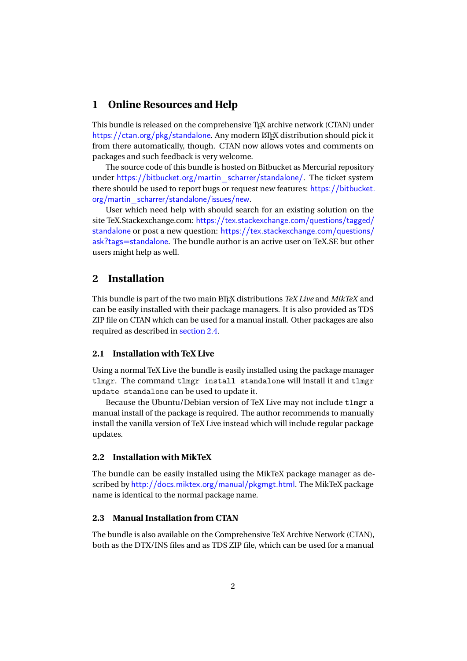## <span id="page-1-0"></span>**1 Online Resources and Help**

This bundle is released on the comprehensive T<sub>E</sub>X archive network (CTAN) under <https://ctan.org/pkg/standalone>. Any modern LTFX distribution should pick it from there automatically, though. CTAN now allows votes and comments on packages and such feedback is very welcome.

The source code of this bundle is hosted on Bitbucket as Mercurial repository under [https://bitbucket.org/martin\\_scharrer/standalone/](https://bitbucket.org/martin_scharrer/standalone/). The ticket system there should be used to report bugs or request new features: [https://bitbucket.](https://bitbucket.org/martin_scharrer/standalone/issues/new) [org/martin\\_scharrer/standalone/issues/new](https://bitbucket.org/martin_scharrer/standalone/issues/new).

User which need help with should search for an existing solution on the site TeX.Stackexchange.com: [https://tex.stackexchange.com/questions/tagged/](https://tex.stackexchange.com/questions/tagged/standalone) [standalone](https://tex.stackexchange.com/questions/tagged/standalone) or post a new question: [https://tex.stackexchange.com/questions/](https://tex.stackexchange.com/questions/ask?tags=standalone) [ask?tags=standalone](https://tex.stackexchange.com/questions/ask?tags=standalone). The bundle author is an active user on TeX.SE but other users might help as well.

## <span id="page-1-1"></span>**2 Installation**

This bundle is part of the two main LATEX distributions *TeX Live* and *MikTeX* and can be easily installed with their package managers. It is also provided as TDS ZIP file on CTAN which can be used for a manual install. Other packages are also required as described in [section 2.4.](#page-2-0)

## <span id="page-1-2"></span>**2.1 Installation with TeX Live**

Using a normal TeX Live the bundle is easily installed using the package manager tlmgr. The command tlmgr install standalone will install it and tlmgr update standalone can be used to update it.

Because the Ubuntu/Debian version of TeX Live may not include tlmgr a manual install of the package is required. The author recommends to manually install the vanilla version of TeX Live instead which will include regular package updates.

#### <span id="page-1-3"></span>**2.2 Installation with MikTeX**

The bundle can be easily installed using the MikTeX package manager as described by <http://docs.miktex.org/manual/pkgmgt.html>. The MikTeX package name is identical to the normal package name.

### <span id="page-1-4"></span>**2.3 Manual Installation from CTAN**

The bundle is also available on the Comprehensive TeX Archive Network (CTAN), both as the DTX/INS files and as TDS ZIP file, which can be used for a manual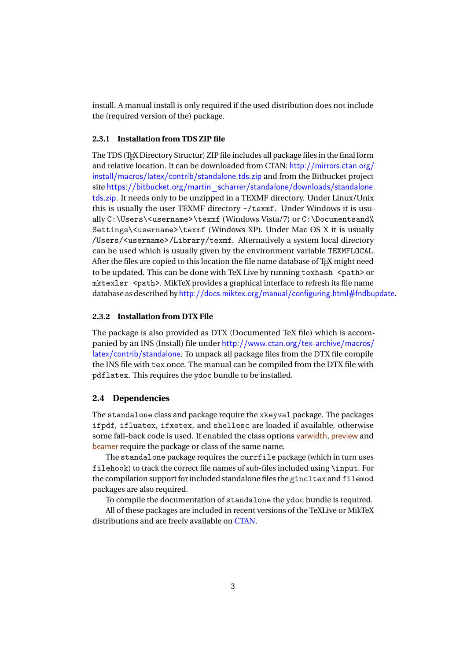install. A manual install is only required if the used distribution does not include the (required version of the) package.

### **2.3.1 Installation from TDS ZIP file**

The TDS (TEX Directory Structur) ZIP file includes all package files in the final form and relative location. It can be downloaded from CTAN: [http://mirrors.ctan.org/](http://mirrors.ctan.org/install/macros/latex/contrib/standalone.tds.zip) [install/macros/latex/contrib/standalone.tds.zip](http://mirrors.ctan.org/install/macros/latex/contrib/standalone.tds.zip) and from the Bitbucket project site [https://bitbucket.org/martin\\_scharrer/standalone/downloads/standalone.](https://bitbucket.org/martin_scharrer/standalone/downloads/standalone.tds.zip) [tds.zip](https://bitbucket.org/martin_scharrer/standalone/downloads/standalone.tds.zip). It needs only to be unzipped in a TEXMF directory. Under Linux/Unix this is usually the user TEXMF directory ~/texmf. Under Windows it is usually C:\Users\<username>\texmf (Windows Vista/7) or C:\Documentsand% Settings\<username>\texmf (Windows XP). Under Mac OS X it is usually /Users/<username>/Library/texmf. Alternatively a system local directory can be used which is usually given by the environment variable TEXMFLOCAL. After the files are copied to this location the file name database of TFX might need to be updated. This can be done with TeX Live by running texhash <path> or mktexlsr <path>. MikTeX provides a graphical interface to refresh its file name database as described by <http://docs.miktex.org/manual/configuring.html#fndbupdate>.

### **2.3.2 Installation from DTX File**

The package is also provided as DTX (Documented TeX file) which is accompanied by an INS (Install) file under [http://www.ctan.org/tex-archive/macros/](http://www.ctan.org/tex-archive/macros/latex/contrib/standalone) [latex/contrib/standalone](http://www.ctan.org/tex-archive/macros/latex/contrib/standalone). To unpack all package files from the DTX file compile the INS file with tex once. The manual can be compiled from the DTX file with pdflatex. This requires the ydoc bundle to be installed.

## <span id="page-2-0"></span>**2.4 Dependencies**

The standalone class and package require the xkeyval package. The packages ifpdf, ifluatex, ifxetex, and shellesc are loaded if available, otherwise some fall-back code is used. If enabled the class options varwidth, preview and beamer require the package or class of the same name.

The standalone package requires the currfile package (which in turn uses filehook) to track the correct file names of sub-files included using \input. For the compilation support for included standalone files the gincltex and filemod packages are also required.

To compile the documentation of standalone the ydoc bundle is required.

All of these packages are included in recent versions of the TeXLive or MikTeX distributions and are freely available on [CTAN.](http://www.ctan.org/)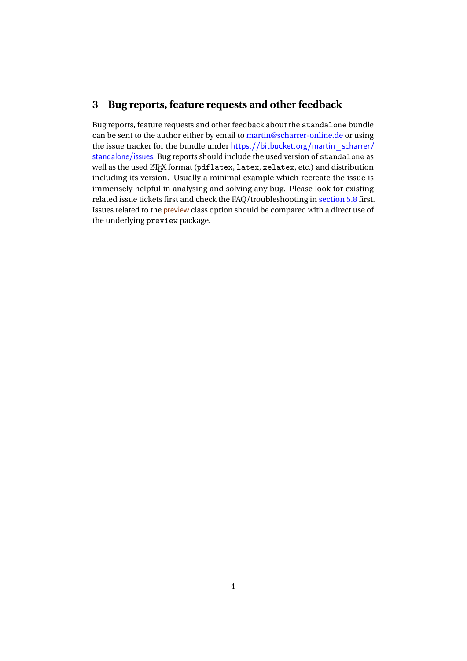## <span id="page-3-0"></span>**3 Bug reports, feature requests and other feedback**

Bug reports, feature requests and other feedback about the standalone bundle can be sent to the author either by email to [martin@scharrer-online.de](mailto:martin@scharrer-online.de?subject=standalone:%20) or using the issue tracker for the bundle under [https://bitbucket.org/martin\\_scharrer/](https://bitbucket.org/martin_scharrer/standalone/issues) [standalone/issues](https://bitbucket.org/martin_scharrer/standalone/issues). Bug reports should include the used version of standalone as well as the used ETEX format (pdflatex, latex, xelatex, etc.) and distribution including its version. Usually a minimal example which recreate the issue is immensely helpful in analysing and solving any bug. Please look for existing related issue tickets first and check the FAQ/troubleshooting in [section 5.8](#page-19-0) first. Issues related to the preview class option should be compared with a direct use of the underlying preview package.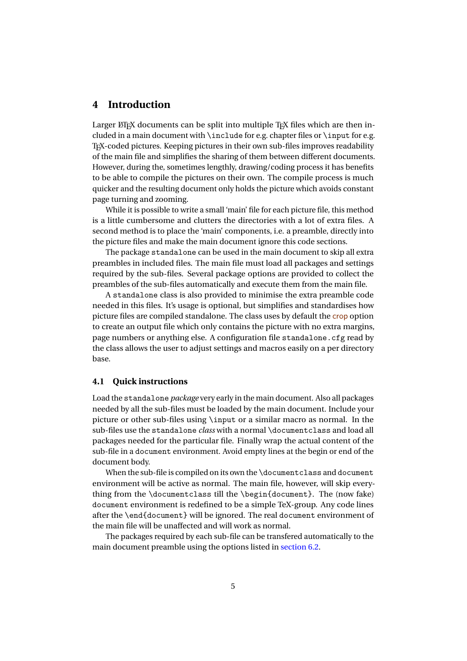## <span id="page-4-0"></span>**4 Introduction**

Larger LATEX documents can be split into multiple TEX files which are then included in a main document with \include for e.g. chapter files or \input for e.g. TEX-coded pictures. Keeping pictures in their own sub-files improves readability of the main file and simplifies the sharing of them between different documents. However, during the, sometimes lengthly, drawing/coding process it has benefits to be able to compile the pictures on their own. The compile process is much quicker and the resulting document only holds the picture which avoids constant page turning and zooming.

While it is possible to write a small 'main' file for each picture file, this method is a little cumbersome and clutters the directories with a lot of extra files. A second method is to place the 'main' components, i.e. a preamble, directly into the picture files and make the main document ignore this code sections.

The package standalone can be used in the main document to skip all extra preambles in included files. The main file must load all packages and settings required by the sub-files. Several package options are provided to collect the preambles of the sub-files automatically and execute them from the main file.

A standalone class is also provided to minimise the extra preamble code needed in this files. It's usage is optional, but simplifies and standardises how picture files are compiled standalone. The class uses by default the crop option to create an output file which only contains the picture with no extra margins, page numbers or anything else. A configuration file standalone.cfg read by the class allows the user to adjust settings and macros easily on a per directory base.

#### <span id="page-4-1"></span>**4.1 Quick instructions**

Load the standalone *package* very early in the main document. Also all packages needed by all the sub-files must be loaded by the main document. Include your picture or other sub-files using \input or a similar macro as normal. In the sub-files use the standalone *class* with a normal \documentclass and load all packages needed for the particular file. Finally wrap the actual content of the sub-file in a document environment. Avoid empty lines at the begin or end of the document body.

When the sub-file is compiled on its own the \documentclass and document environment will be active as normal. The main file, however, will skip everything from the \documentclass till the \begin{document}. The (now fake) document environment is redefined to be a simple TeX-group. Any code lines after the \end{document} will be ignored. The real document environment of the main file will be unaffected and will work as normal.

The packages required by each sub-file can be transfered automatically to the main document preamble using the options listed in [section 6.2.](#page-21-2)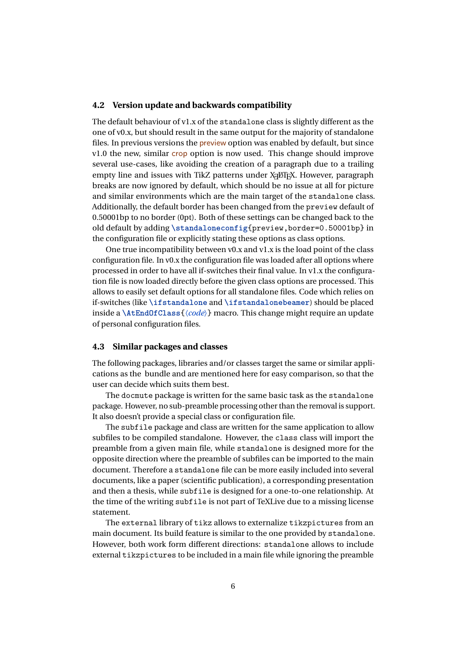### <span id="page-5-0"></span>**4.2 Version update and backwards compatibility**

The default behaviour of v1.x of the standalone class is slightly different as the one of v0.x, but should result in the same output for the majority of standalone files. In previous versions the preview option was enabled by default, but since v1.0 the new, similar crop option is now used. This change should improve several use-cases, like avoiding the creation of a paragraph due to a trailing empty line and issues with TikZ patterns under X<sub>3</sub>L/H<sub>E</sub>X. However, paragraph breaks are now ignored by default, which should be no issue at all for picture and similar environments which are the main target of the standalone class. Additionally, the default border has been changed from the preview default of 0.50001bp to no border (0pt). Both of these settings can be changed back to the old default by adding **\standaloneconfig**{preview,border=0.50001bp} in the configuration file or explicitly stating these options as class options.

One true incompatibility between v0.x and v1.x is the load point of the class configuration file. In v0.x the configuration file was loaded after all options where processed in order to have all if-switches their final value. In v1.x the configuration file is now loaded directly before the given class options are processed. This allows to easily set default options for all standalone files. Code which relies on if-switches (like **\ifstandalone** and **\ifstandalonebeamer**) should be placed inside a **\AtEndOfClass**{〈*code*〉} macro. This change might require an update of personal configuration files.

#### <span id="page-5-1"></span>**4.3 Similar packages and classes**

The following packages, libraries and/or classes target the same or similar applications as the bundle and are mentioned here for easy comparison, so that the user can decide which suits them best.

The docmute package is written for the same basic task as the standalone package. However, no sub-preamble processing other than the removal is support. It also doesn't provide a special class or configuration file.

The subfile package and class are written for the same application to allow subfiles to be compiled standalone. However, the class class will import the preamble from a given main file, while standalone is designed more for the opposite direction where the preamble of subfiles can be imported to the main document. Therefore a standalone file can be more easily included into several documents, like a paper (scientific publication), a corresponding presentation and then a thesis, while subfile is designed for a one-to-one relationship. At the time of the writing subfile is not part of TeXLive due to a missing license statement.

The external library of tikz allows to externalize tikzpictures from an main document. Its build feature is similar to the one provided by standalone. However, both work form different directions: standalone allows to include external tikzpictures to be included in a main file while ignoring the preamble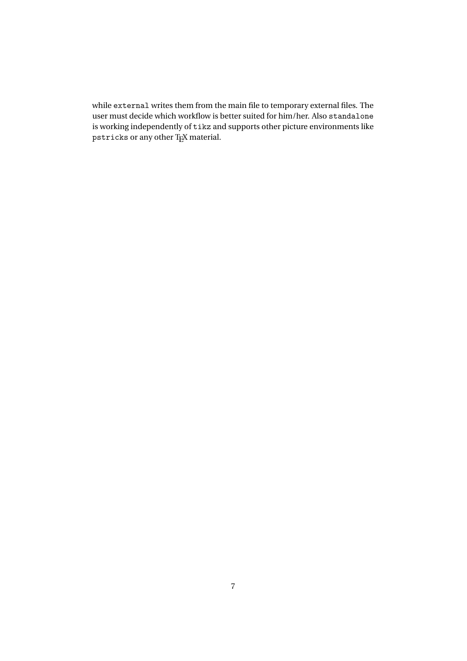while external writes them from the main file to temporary external files. The user must decide which workflow is better suited for him/her. Also standalone is working independently of tikz and supports other picture environments like pstricks or any other T<sub>E</sub>X material.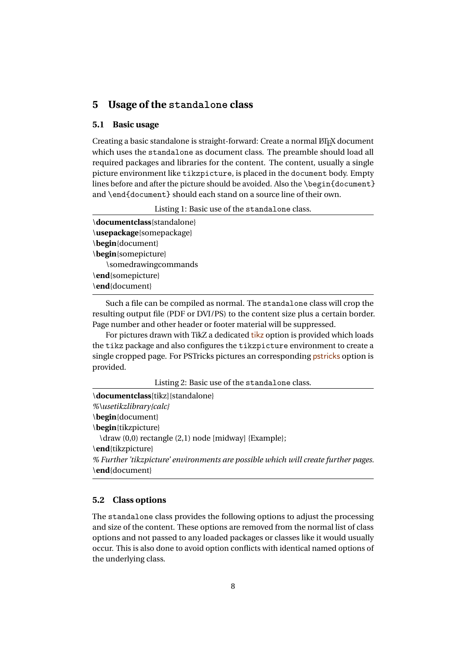## <span id="page-7-0"></span>**5 Usage of the standalone class**

### <span id="page-7-1"></span>**5.1 Basic usage**

Creating a basic standalone is straight-forward: Create a normal LTFX document which uses the standalone as document class. The preamble should load all required packages and libraries for the content. The content, usually a single picture environment like tikzpicture, is placed in the document body. Empty lines before and after the picture should be avoided. Also the \begin{document} and \end{document} should each stand on a source line of their own.

Listing 1: Basic use of the standalone class.

| \documentclass{standalone} |  |
|----------------------------|--|
| \usepackage{somepackage}   |  |
| \begin{document}           |  |
| \begin{somepicture}        |  |
| \somedrawingcommands       |  |
| \end{somepicture}          |  |
| \end{document}             |  |

Such a file can be compiled as normal. The standalone class will crop the resulting output file (PDF or DVI/PS) to the content size plus a certain border. Page number and other header or footer material will be suppressed.

For pictures drawn with TikZ a dedicated tikz option is provided which loads the tikz package and also configures the tikzpicture environment to create a single cropped page. For PSTricks pictures an corresponding pstricks option is provided.

| Listing 2: Basic use of the standalone class. |  |  |  |
|-----------------------------------------------|--|--|--|
|-----------------------------------------------|--|--|--|

```
\documentclass[tikz]{standalone}
%\usetikzlibrary{calc}
\begin{document}
\begin{tikzpicture}
 \draw (0,0) rectangle (2,1) node [midway] {Example};
\end{tikzpicture}
% Further 'tikzpicture' environments are possible which will create further pages.
\end{document}
```
#### <span id="page-7-2"></span>**5.2 Class options**

The standalone class provides the following options to adjust the processing and size of the content. These options are removed from the normal list of class options and not passed to any loaded packages or classes like it would usually occur. This is also done to avoid option conflicts with identical named options of the underlying class.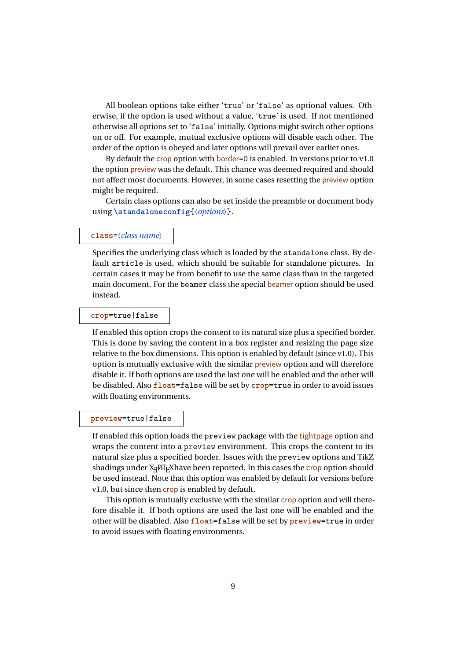All boolean options take either 'true' or 'false' as optional values. Otherwise, if the option is used without a value, 'true' is used. If not mentioned otherwise all options set to 'false' initially. Options might switch other options on or off. For example, mutual exclusive options will disable each other. The order of the option is obeyed and later options will prevail over earlier ones.

By default the crop option with **border=0** is enabled. In versions prior to v1.0 the option preview was the default. This chance was deemed required and should not affect most documents. However, in some cases resetting the preview option might be required.

Certain class options can also be set inside the preamble or document body using **\standaloneconfig**{〈*options*〉}.

### **class**=〈*class name*〉

Specifies the underlying class which is loaded by the standalone class. By default article is used, which should be suitable for standalone pictures. In certain cases it may be from benefit to use the same class than in the targeted main document. For the beamer class the special beamer option should be used instead.

#### **crop**=true|false

If enabled this option crops the content to its natural size plus a specified border. This is done by saving the content in a box register and resizing the page size relative to the box dimensions. This option is enabled by default (since v1.0). This option is mutually exclusive with the similar preview option and will therefore disable it. If both options are used the last one will be enabled and the other will be disabled. Also **float**=false will be set by **crop**=true in order to avoid issues with floating environments.

#### **preview**=true|false

If enabled this option loads the preview package with the tightpage option and wraps the content into a preview environment. This crops the content to its natural size plus a specified border. Issues with the preview options and TikZ shadings under X<sub>E</sub>MEX have been reported. In this cases the <mark>crop</mark> option should be used instead. Note that this option was enabled by default for versions before v1.0, but since then crop is enabled by default.

This option is mutually exclusive with the similar crop option and will therefore disable it. If both options are used the last one will be enabled and the other will be disabled. Also **float**=false will be set by **preview**=true in order to avoid issues with floating environments.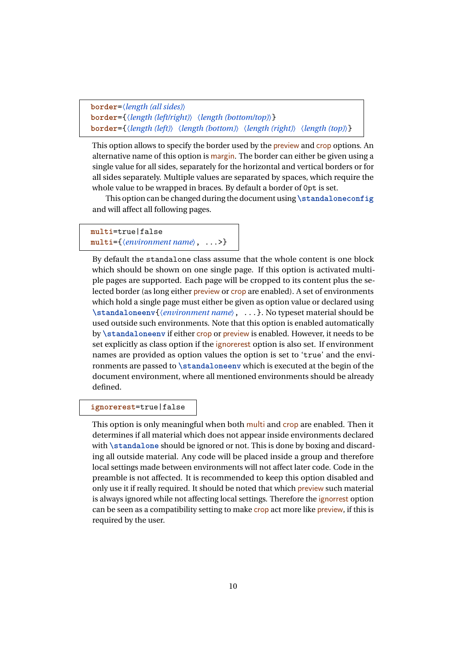```
border=〈length (all sides)〉
border={〈length (left/right)〉 〈length (bottom/top)〉}
border={〈length (left)〉 〈length (bottom)〉 〈length (right)〉 〈length (top)〉}
```
This option allows to specify the border used by the preview and crop options. An alternative name of this option is margin. The border can either be given using a single value for all sides, separately for the horizontal and vertical borders or for all sides separately. Multiple values are separated by spaces, which require the whole value to be wrapped in braces. By default a border of 0pt is set.

This option can be changed during the document using **\standaloneconfig** and will affect all following pages.

## **multi**=true|false **multi**={〈*environment name*〉, ...>}

By default the standalone class assume that the whole content is one block which should be shown on one single page. If this option is activated multiple pages are supported. Each page will be cropped to its content plus the selected border (as long either preview or crop are enabled). A set of environments which hold a single page must either be given as option value or declared using **\standaloneenv**{〈*environment name*〉, ...}. No typeset material should be used outside such environments. Note that this option is enabled automatically by **\standaloneenv** if either crop or preview is enabled. However, it needs to be set explicitly as class option if the ignorerest option is also set. If environment names are provided as option values the option is set to 'true' and the environments are passed to **\standaloneenv** which is executed at the begin of the document environment, where all mentioned environments should be already defined.

#### **ignorerest**=true|false

This option is only meaningful when both multi and crop are enabled. Then it determines if all material which does not appear inside environments declared with **\standalone** should be ignored or not. This is done by boxing and discarding all outside material. Any code will be placed inside a group and therefore local settings made between environments will not affect later code. Code in the preamble is not affected. It is recommended to keep this option disabled and only use it if really required. It should be noted that which preview such material is always ignored while not affecting local settings. Therefore the ignorrest option can be seen as a compatibility setting to make crop act more like preview, if this is required by the user.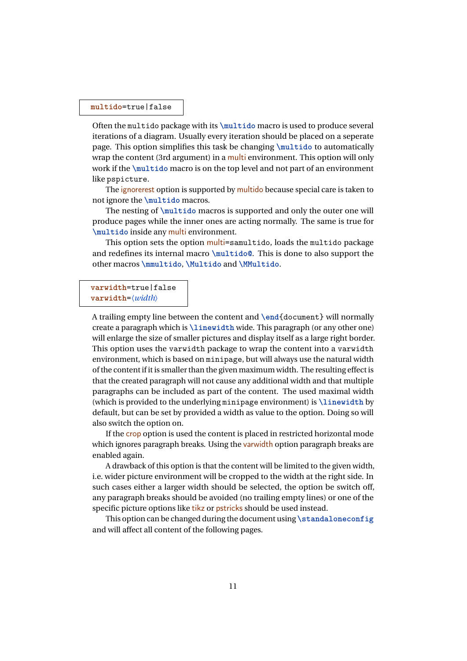## **multido**=true|false

Often the multido package with its **\multido** macro is used to produce several iterations of a diagram. Usually every iteration should be placed on a seperate page. This option simplifies this task be changing **\multido** to automatically wrap the content (3rd argument) in a multi environment. This option will only work if the **\multido** macro is on the top level and not part of an environment like pspicture.

The ignorerest option is supported by multido because special care is taken to not ignore the **\multido** macros.

The nesting of **\multido** macros is supported and only the outer one will produce pages while the inner ones are acting normally. The same is true for **\multido** inside any multi environment.

This option sets the option multi=samultido, loads the multido package and redefines its internal macro **\multido@**. This is done to also support the other macros **\mmultido**, **\Multido** and **\MMultido**.

### **varwidth**=true|false **varwidth**=〈*width*〉

A trailing empty line between the content and **\end**{document} will normally create a paragraph which is **\linewidth** wide. This paragraph (or any other one) will enlarge the size of smaller pictures and display itself as a large right border. This option uses the varwidth package to wrap the content into a varwidth environment, which is based on minipage, but will always use the natural width of the content if it is smaller than the given maximum width. The resulting effect is that the created paragraph will not cause any additional width and that multiple paragraphs can be included as part of the content. The used maximal width (which is provided to the underlying minipage environment) is **\linewidth** by default, but can be set by provided a width as value to the option. Doing so will also switch the option on.

If the crop option is used the content is placed in restricted horizontal mode which ignores paragraph breaks. Using the varwidth option paragraph breaks are enabled again.

A drawback of this option is that the content will be limited to the given width, i.e. wider picture environment will be cropped to the width at the right side. In such cases either a larger width should be selected, the option be switch off, any paragraph breaks should be avoided (no trailing empty lines) or one of the specific picture options like tikz or pstricks should be used instead.

This option can be changed during the document using **\standaloneconfig** and will affect all content of the following pages.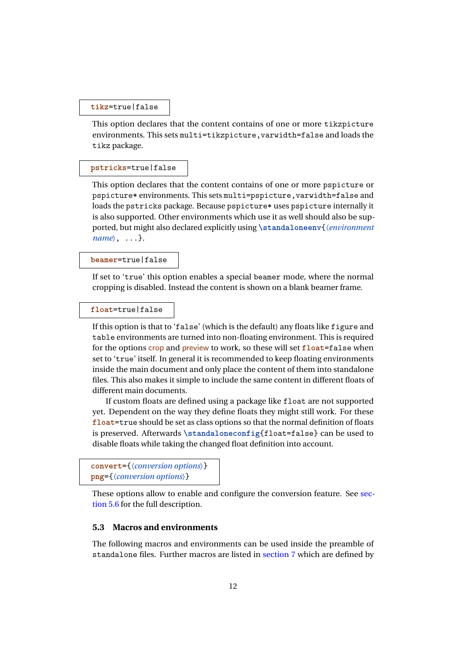## **tikz**=true|false

This option declares that the content contains of one or more tikzpicture environments. This sets multi=tikzpicture, varwidth=false and loads the tikz package.

## **pstricks**=true|false

This option declares that the content contains of one or more pspicture or pspicture\* environments. This sets multi=pspicture,varwidth=false and loads the pstricks package. Because pspicture\* uses pspicture internally it is also supported. Other environments which use it as well should also be supported, but might also declared explicitly using **\standaloneenv**{〈*environment name*〉, ...}.

#### **beamer**=true|false

If set to 'true' this option enables a special beamer mode, where the normal cropping is disabled. Instead the content is shown on a blank beamer frame.

#### **float**=true|false

If this option is that to 'false' (which is the default) any floats like figure and table environments are turned into non-floating environment. This is required for the options crop and preview to work, so these will set **float**=false when set to 'true' itself. In general it is recommended to keep floating environments inside the main document and only place the content of them into standalone files. This also makes it simple to include the same content in different floats of different main documents.

If custom floats are defined using a package like float are not supported yet. Dependent on the way they define floats they might still work. For these **float**=true should be set as class options so that the normal definition of floats is preserved. Afterwards **\standaloneconfig**{float=false} can be used to disable floats while taking the changed float definition into account.

```
convert={〈conversion options〉}
png={〈conversion options〉}
```
These options allow to enable and configure the conversion feature. See [sec](#page-15-1)[tion 5.6](#page-15-1) for the full description.

## <span id="page-11-0"></span>**5.3 Macros and environments**

The following macros and environments can be used inside the preamble of standalone files. Further macros are listed in [section 7](#page-26-0) which are defined by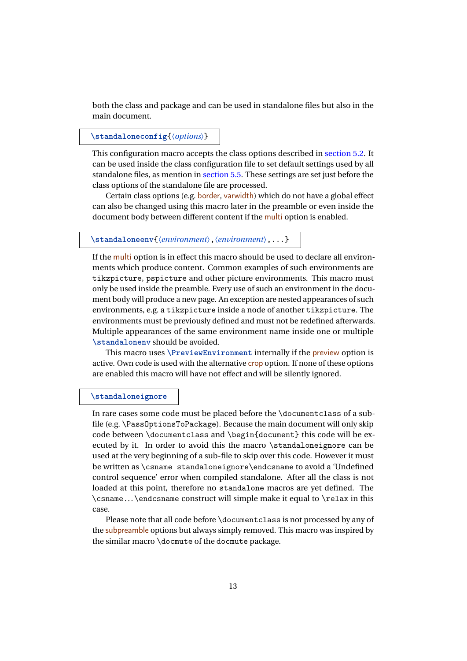both the class and package and can be used in standalone files but also in the main document.

## **\standaloneconfig**{〈*options*〉}

This configuration macro accepts the class options described in [section 5.2.](#page-7-2) It can be used inside the class configuration file to set default settings used by all standalone files, as mention in [section 5.5.](#page-15-0) These settings are set just before the class options of the standalone file are processed.

Certain class options (e.g. border, varwidth) which do not have a global effect can also be changed using this macro later in the preamble or even inside the document body between different content if the multi option is enabled.

#### **\standaloneenv**{〈*environment*〉,〈*environment*〉,...}

If the multi option is in effect this macro should be used to declare all environments which produce content. Common examples of such environments are tikzpicture, pspicture and other picture environments. This macro must only be used inside the preamble. Every use of such an environment in the document body will produce a new page. An exception are nested appearances of such environments, e.g. a tikzpicture inside a node of another tikzpicture. The environments must be previously defined and must not be redefined afterwards. Multiple appearances of the same environment name inside one or multiple **\standalonenv** should be avoided.

This macro uses **\PreviewEnvironment** internally if the preview option is active. Own code is used with the alternative crop option. If none of these options are enabled this macro will have not effect and will be silently ignored.

#### **\standaloneignore**

In rare cases some code must be placed before the \documentclass of a subfile (e.g. \PassOptionsToPackage). Because the main document will only skip code between \documentclass and \begin{document} this code will be executed by it. In order to avoid this the macro \standaloneignore can be used at the very beginning of a sub-file to skip over this code. However it must be written as \csname standaloneignore\endcsname to avoid a 'Undefined control sequence' error when compiled standalone. After all the class is not loaded at this point, therefore no standalone macros are yet defined. The \csname .. .\endcsname construct will simple make it equal to \relax in this case.

Please note that all code before \documentclass is not processed by any of the subpreamble options but always simply removed. This macro was inspired by the similar macro \docmute of the docmute package.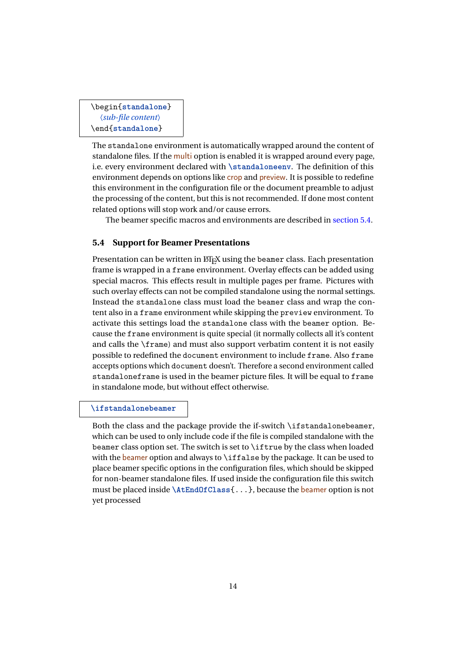\begin{**standalone**} 〈*sub-file content*〉 \end{**standalone**}

The standalone environment is automatically wrapped around the content of standalone files. If the multi option is enabled it is wrapped around every page, i.e. every environment declared with **\standaloneenv**. The definition of this environment depends on options like crop and preview. It is possible to redefine this environment in the configuration file or the document preamble to adjust the processing of the content, but this is not recommended. If done most content related options will stop work and/or cause errors.

The beamer specific macros and environments are described in [section 5.4.](#page-13-0)

## <span id="page-13-0"></span>**5.4 Support for Beamer Presentations**

Presentation can be written in  $E\nabla X$  using the beamer class. Each presentation frame is wrapped in a frame environment. Overlay effects can be added using special macros. This effects result in multiple pages per frame. Pictures with such overlay effects can not be compiled standalone using the normal settings. Instead the standalone class must load the beamer class and wrap the content also in a frame environment while skipping the preview environment. To activate this settings load the standalone class with the beamer option. Because the frame environment is quite special (it normally collects all it's content and calls the \frame) and must also support verbatim content it is not easily possible to redefined the document environment to include frame. Also frame accepts options which document doesn't. Therefore a second environment called standaloneframe is used in the beamer picture files. It will be equal to frame in standalone mode, but without effect otherwise.

## **\ifstandalonebeamer**

Both the class and the package provide the if-switch \ifstandalonebeamer, which can be used to only include code if the file is compiled standalone with the beamer class option set. The switch is set to \iftrue by the class when loaded with the beamer option and always to  $\iota$  if false by the package. It can be used to place beamer specific options in the configuration files, which should be skipped for non-beamer standalone files. If used inside the configuration file this switch must be placed inside **\AtEndOfClass**{...}, because the beamer option is not yet processed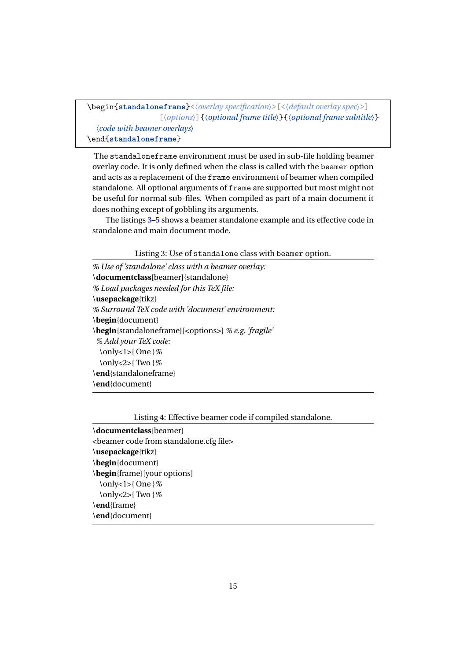```
\begin{standaloneframe}<〈overlay specification〉>[<〈default overlay spec〉>]
                   [〈options〉]{〈optional frame title〉}{〈optional frame subtitle〉}
  〈code with beamer overlays〉
\end{standaloneframe}
```
The standaloneframe environment must be used in sub-file holding beamer overlay code. It is only defined when the class is called with the beamer option and acts as a replacement of the frame environment of beamer when compiled standalone. All optional arguments of frame are supported but most might not be useful for normal sub-files. When compiled as part of a main document it does nothing except of gobbling its arguments.

The listings [3](#page-14-0)[–5](#page-15-2) shows a beamer standalone example and its effective code in standalone and main document mode.

Listing 3: Use of standalone class with beamer option.

```
% Use of 'standalone' class with a beamer overlay:
\documentclass[beamer]{standalone}
% Load packages needed for this TeX file:
\usepackage{tikz}
% Surround TeX code with 'document' environment:
\begin{document}
\begin{standaloneframe}[<options>] % e.g. 'fragile'
% Add your TeX code:
 \only<1>{ One }%
 \only<2>{ Two }%
\end{standaloneframe}
\end{document}
```
Listing 4: Effective beamer code if compiled standalone.

\**documentclass**{beamer} <beamer code from standalone.cfg file> \**usepackage**{tikz} \**begin**{document} \**begin**{frame}[your options] \only<1>{ One }*%* \only<2>{ Two }*%* \**end**{frame} \**end**{document}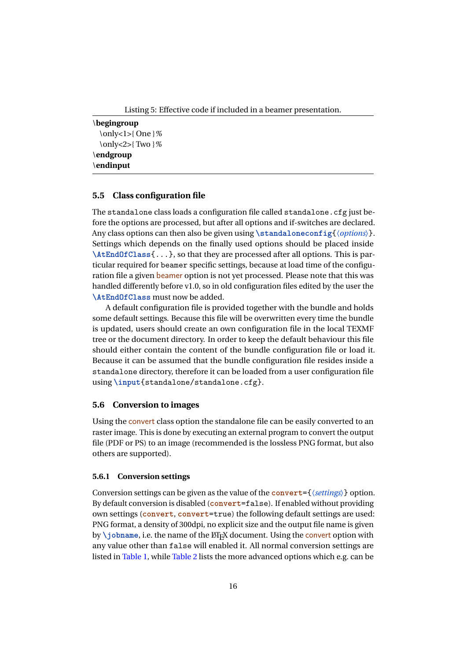```
\begingroup
 \only<1>{ One }%
 \only<2>{ Two }%
\endgroup
\endinput
```
## <span id="page-15-0"></span>**5.5 Class configuration file**

The standalone class loads a configuration file called standalone.cfg just before the options are processed, but after all options and if-switches are declared. Any class options can then also be given using **\standaloneconfig**{〈*options*〉}. Settings which depends on the finally used options should be placed inside **\AtEndOfClass**{...}, so that they are processed after all options. This is particular required for beamer specific settings, because at load time of the configuration file a given beamer option is not yet processed. Please note that this was handled differently before v1.0, so in old configuration files edited by the user the **\AtEndOfClass** must now be added.

A default configuration file is provided together with the bundle and holds some default settings. Because this file will be overwritten every time the bundle is updated, users should create an own configuration file in the local TEXMF tree or the document directory. In order to keep the default behaviour this file should either contain the content of the bundle configuration file or load it. Because it can be assumed that the bundle configuration file resides inside a standalone directory, therefore it can be loaded from a user configuration file using **\input**{standalone/standalone.cfg}.

#### <span id="page-15-1"></span>**5.6 Conversion to images**

Using the convert class option the standalone file can be easily converted to an raster image. This is done by executing an external program to convert the output file (PDF or PS) to an image (recommended is the lossless PNG format, but also others are supported).

### **5.6.1 Conversion settings**

Conversion settings can be given as the value of the **convert**={〈*settings*〉} option. By default conversion is disabled (**convert**=false). If enabled without providing own settings (**convert**, **convert**=true) the following default settings are used: PNG format, a density of 300dpi, no explicit size and the output file name is given by **\**jobname, i.e. the name of the ET<sub>EX</sub> document. Using the convert option with any value other than false will enabled it. All normal conversion settings are listed in [Table 1,](#page-17-0) while [Table 2](#page-17-1) lists the more advanced options which e.g. can be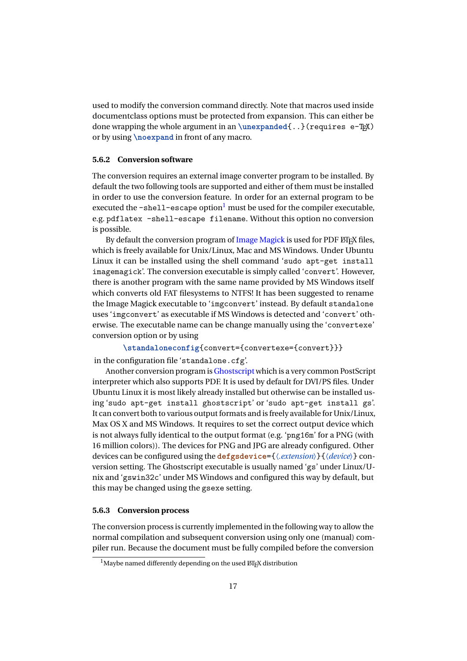used to modify the conversion command directly. Note that macros used inside documentclass options must be protected from expansion. This can either be done wrapping the whole argument in an  $\u$ nexpanded $\ldots$  (requires e-T<sub>EX</sub>) or by using **\noexpand** in front of any macro.

#### <span id="page-16-1"></span>**5.6.2 Conversion software**

The conversion requires an external image converter program to be installed. By default the two following tools are supported and either of them must be installed in order to use the conversion feature. In order for an external program to be executed the  $\text{-shell}-\text{escape option}^1$  $\text{-shell}-\text{escape option}^1$  must be used for the compiler executable, e.g. pdflatex -shell-escape filename. Without this option no conversion is possible.

By default the conversion program of [Image Magick](http://www.imagemagick.org/) is used for PDF LATEX files, which is freely available for Unix/Linux, Mac and MS Windows. Under Ubuntu Linux it can be installed using the shell command 'sudo apt-get install imagemagick'. The conversion executable is simply called 'convert'. However, there is another program with the same name provided by MS Windows itself which converts old FAT filesystems to NTFS! It has been suggested to rename the Image Magick executable to 'imgconvert' instead. By default standalone uses 'imgconvert' as executable if MS Windows is detected and 'convert' otherwise. The executable name can be change manually using the 'convertexe' conversion option or by using

**\standaloneconfig**{convert={convertexe={convert}}}

in the configuration file 'standalone.cfg'.

Another conversion program is [Ghostscript](http://pages.cs.wisc.edu/~ghost/) which is a very common PostScript interpreter which also supports PDF. It is used by default for DVI/PS files. Under Ubuntu Linux it is most likely already installed but otherwise can be installed using 'sudo apt-get install ghostscript' or 'sudo apt-get install gs'. It can convert both to various output formats and is freely available for Unix/Linux, Max OS X and MS Windows. It requires to set the correct output device which is not always fully identical to the output format (e.g. 'png16m' for a PNG (with 16 million colors)). The devices for PNG and JPG are already configured. Other devices can be configured using the **defgsdevice**={〈*.extension*〉}{〈*device*〉} conversion setting. The Ghostscript executable is usually named 'gs' under Linux/Unix and 'gswin32c' under MS Windows and configured this way by default, but this may be changed using the gsexe setting.

#### **5.6.3 Conversion process**

The conversion process is currently implemented in the following way to allow the normal compilation and subsequent conversion using only one (manual) compiler run. Because the document must be fully compiled before the conversion

<span id="page-16-0"></span> $1$ Maybe named differently depending on the used  $E_{\text{F}}$ X distribution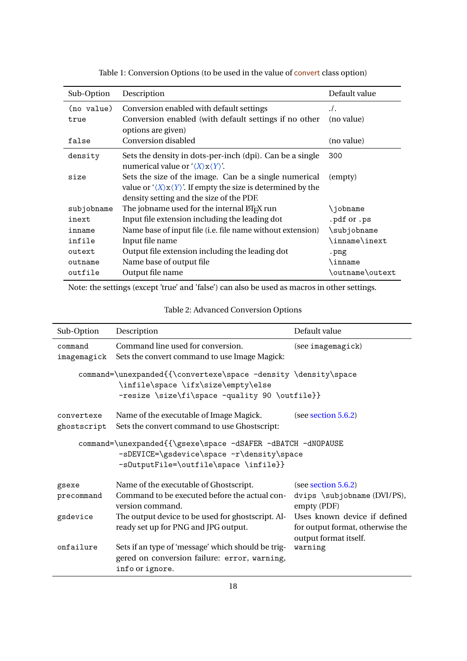| Sub-Option | Description                                                                                | Default value   |
|------------|--------------------------------------------------------------------------------------------|-----------------|
| (no value) | Conversion enabled with default settings                                                   | $\cdot$ .       |
| true       | Conversion enabled (with default settings if no other                                      | (no value)      |
|            | options are given)                                                                         |                 |
| false      | Conversion disabled                                                                        | (no value)      |
| density    | Sets the density in dots-per-inch (dpi). Can be a single                                   | 300             |
|            | numerical value or $\langle X \rangle x \langle Y \rangle'$ .                              |                 |
| size       | Sets the size of the image. Can be a single numerical                                      | (empty)         |
|            | value or $\langle X \rangle x \langle Y \rangle'$ . If empty the size is determined by the |                 |
|            | density setting and the size of the PDF.                                                   |                 |
| subjobname | The jobname used for the internal LTFX run                                                 | \jobname        |
| inext      | Input file extension including the leading dot                                             | .pdf or .ps     |
| inname     | Name base of input file (i.e. file name without extension)                                 | \subjobname     |
| infile     | Input file name                                                                            | \inname\inext   |
| outext     | Output file extension including the leading dot                                            | .png            |
| outname    | Name base of output file                                                                   | \inname         |
| outfile    | Output file name                                                                           | \outname\outext |

<span id="page-17-0"></span>Table 1: Conversion Options (to be used in the value of convert class option)

<span id="page-17-1"></span>Note: the settings (except 'true' and 'false') can also be used as macros in other settings.

## Table 2: Advanced Conversion Options

| Sub-Option                | Description                                                                                                                                           | Default value                                                                             |
|---------------------------|-------------------------------------------------------------------------------------------------------------------------------------------------------|-------------------------------------------------------------------------------------------|
| command<br>imagemagick    | Command line used for conversion.<br>Sets the convert command to use Image Magick:                                                                    | (see imagemagick)                                                                         |
|                           | command=\unexpanded{{\convertexe\space -density \density\space<br>\infile\space \ifx\size\empty\else<br>-resize \size\fi\space -quality 90 \outfile}} |                                                                                           |
| convertexe<br>ghostscript | Name of the executable of Image Magick.<br>Sets the convert command to use Ghostscript:                                                               | (see section 5.6.2)                                                                       |
|                           | command=\unexpanded{{\gsexe\space -dSAFER -dBATCH -dNOPAUSE<br>-sDEVICE=\gsdevice\space -r\density\space<br>-s0utputFile=\outfile\space \infile}}     |                                                                                           |
| gsexe                     | Name of the executable of Ghostscript.                                                                                                                | (see section 5.6.2)                                                                       |
| precommand                | Command to be executed before the actual con-<br>version command.                                                                                     | dvips \subjobname (DVI/PS),<br>empty (PDF)                                                |
| gsdevice                  | The output device to be used for ghostscript. Al-<br>ready set up for PNG and JPG output.                                                             | Uses known device if defined<br>for output format, otherwise the<br>output format itself. |
| onfailure                 | Sets if an type of 'message' which should be trig-<br>gered on conversion failure: error, warning,<br>info or ignore.                                 | warning                                                                                   |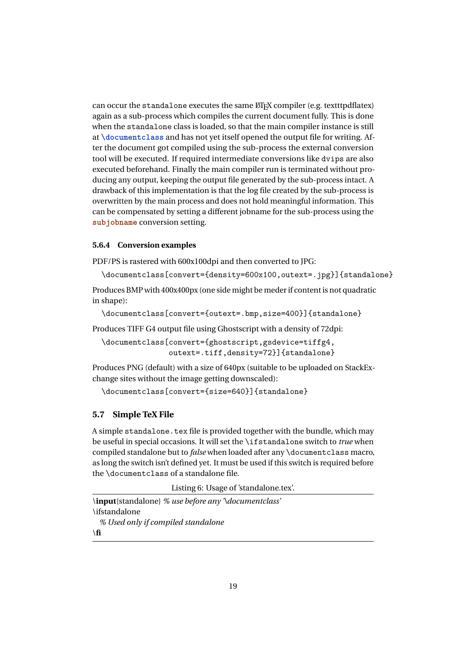can occur the standalone executes the same ET<sub>EX</sub> compiler (e.g. textttpdflatex) again as a sub-process which compiles the current document fully. This is done when the standalone class is loaded, so that the main compiler instance is still at **\documentclass** and has not yet itself opened the output file for writing. After the document got compiled using the sub-process the external conversion tool will be executed. If required intermediate conversions like dvips are also executed beforehand. Finally the main compiler run is terminated without producing any output, keeping the output file generated by the sub-process intact. A drawback of this implementation is that the log file created by the sub-process is overwritten by the main process and does not hold meaningful information. This can be compensated by setting a different jobname for the sub-process using the **subjobname** conversion setting.

#### **5.6.4 Conversion examples**

PDF/PS is rastered with 600x100dpi and then converted to JPG:

\documentclass[convert={density=600x100,outext=.jpg}]{standalone}

Produces BMP with 400x400px (one side might be meder if content is not quadratic in shape):

\documentclass[convert={outext=.bmp,size=400}]{standalone}

Produces TIFF G4 output file using Ghostscript with a density of 72dpi:

\documentclass[convert={ghostscript,gsdevice=tiffg4, outext=.tiff,density=72}]{standalone}

Produces PNG (default) with a size of 640px (suitable to be uploaded on StackExchange sites without the image getting downscaled):

\documentclass[convert={size=640}]{standalone}

### <span id="page-18-0"></span>**5.7 Simple TeX File**

A simple standalone.tex file is provided together with the bundle, which may be useful in special occasions. It will set the \ifstandalone switch to *true* when compiled standalone but to *false* when loaded after any \documentclass macro, as long the switch isn't defined yet. It must be used if this switch is required before the \documentclass of a standalone file.

Listing 6: Usage of 'standalone.tex'.

\**input**{standalone} *% use before any '\documentclass'* \ifstandalone *% Used only if compiled standalone* \**fi**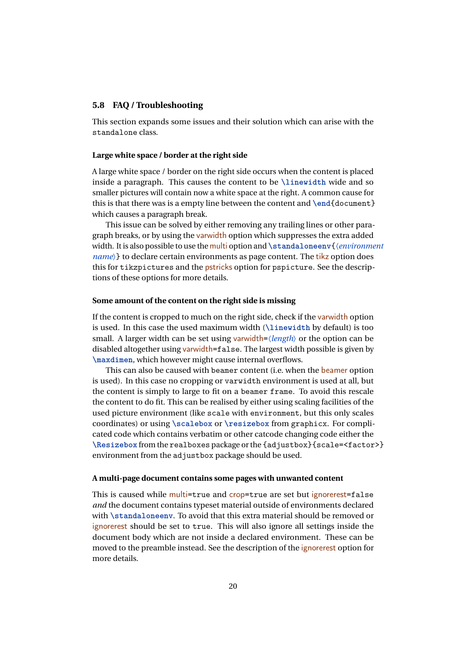#### <span id="page-19-0"></span>**5.8 FAQ / Troubleshooting**

This section expands some issues and their solution which can arise with the standalone class.

#### **Large white space / border at the right side**

A large white space / border on the right side occurs when the content is placed inside a paragraph. This causes the content to be **\linewidth** wide and so smaller pictures will contain now a white space at the right. A common cause for this is that there was is a empty line between the content and **\end**{document} which causes a paragraph break.

This issue can be solved by either removing any trailing lines or other paragraph breaks, or by using the varwidth option which suppresses the extra added width. It is also possible to use the multi option and **\standaloneenv**{〈*environment name*}} to declare certain environments as page content. The tikz option does this for tikzpictures and the pstricks option for pspicture. See the descriptions of these options for more details.

#### **Some amount of the content on the right side is missing**

If the content is cropped to much on the right side, check if the varwidth option is used. In this case the used maximum width (**\linewidth** by default) is too small. A larger width can be set using varwidth=〈*length*〉 or the option can be disabled altogether using varwidth=false. The largest width possible is given by **\maxdimen**, which however might cause internal overflows.

This can also be caused with beamer content (i.e. when the beamer option is used). In this case no cropping or varwidth environment is used at all, but the content is simply to large to fit on a beamer frame. To avoid this rescale the content to do fit. This can be realised by either using scaling facilities of the used picture environment (like scale with environment, but this only scales coordinates) or using **\scalebox** or **\resizebox** from graphicx. For complicated code which contains verbatim or other catcode changing code either the **\Resizebox** from the realboxes package or the {adjustbox}{scale=<factor>} environment from the adjustbox package should be used.

### **A multi-page document contains some pages with unwanted content**

This is caused while multi=true and crop=true are set but ignorerest=false *and* the document contains typeset material outside of environments declared with **\standaloneenv**. To avoid that this extra material should be removed or ignorerest should be set to true. This will also ignore all settings inside the document body which are not inside a declared environment. These can be moved to the preamble instead. See the description of the ignorerest option for more details.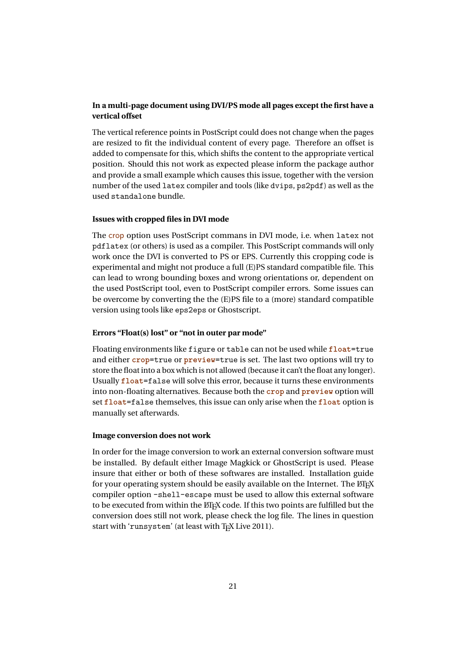## **In a multi-page document using DVI/PS mode all pages except the first have a vertical offset**

The vertical reference points in PostScript could does not change when the pages are resized to fit the individual content of every page. Therefore an offset is added to compensate for this, which shifts the content to the appropriate vertical position. Should this not work as expected please inform the package author and provide a small example which causes this issue, together with the version number of the used latex compiler and tools (like dvips, ps2pdf) as well as the used standalone bundle.

### **Issues with cropped files in DVI mode**

The crop option uses PostScript commans in DVI mode, i.e. when latex not pdflatex (or others) is used as a compiler. This PostScript commands will only work once the DVI is converted to PS or EPS. Currently this cropping code is experimental and might not produce a full (E)PS standard compatible file. This can lead to wrong bounding boxes and wrong orientations or, dependent on the used PostScript tool, even to PostScript compiler errors. Some issues can be overcome by converting the the (E)PS file to a (more) standard compatible version using tools like eps2eps or Ghostscript.

#### **Errors "Float(s) lost" or "not in outer par mode"**

Floating environments like figure or table can not be used while **float**=true and either **crop**=true or **preview**=true is set. The last two options will try to store the float into a box which is not allowed (because it can't the float any longer). Usually **float**=false will solve this error, because it turns these environments into non-floating alternatives. Because both the **crop** and **preview** option will set **float**=false themselves, this issue can only arise when the **float** option is manually set afterwards.

#### **Image conversion does not work**

In order for the image conversion to work an external conversion software must be installed. By default either Image Magkick or GhostScript is used. Please insure that either or both of these softwares are installed. Installation guide for your operating system should be easily available on the Internet. The LATEX compiler option -shell-escape must be used to allow this external software to be executed from within the ETEX code. If this two points are fulfilled but the conversion does still not work, please check the log file. The lines in question start with 'runsystem' (at least with TEX Live 2011).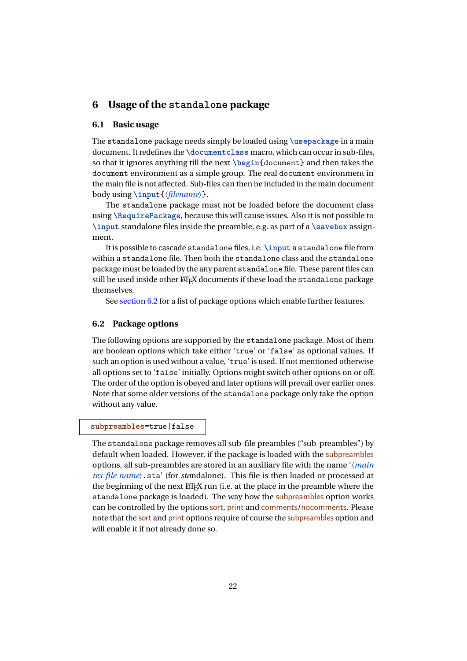## <span id="page-21-0"></span>**6 Usage of the standalone package**

#### <span id="page-21-1"></span>**6.1 Basic usage**

The standalone package needs simply be loaded using **\usepackage** in a main document. It redefines the **\documentclass** macro, which can occur in sub-files, so that it ignores anything till the next **\begin**{document} and then takes the document environment as a simple group. The real document environment in the main file is not affected. Sub-files can then be included in the main document body using **\input**{〈*filename*〉}.

The standalone package must not be loaded before the document class using **\RequirePackage**, because this will cause issues. Also it is not possible to **\input** standalone files inside the preamble, e.g. as part of a **\savebox** assignment.

It is possible to cascade standalone files, i.e. **\input** a standalone file from within a standalone file. Then both the standalone class and the standalone package must be loaded by the any parent standalone file. These parent files can still be used inside other  $ETrX$  documents if these load the standalone package themselves.

See [section 6.2](#page-21-2) for a list of package options which enable further features.

#### <span id="page-21-2"></span>**6.2 Package options**

The following options are supported by the standalone package. Most of them are boolean options which take either 'true' or 'false' as optional values. If such an option is used without a value, 'true' is used. If not mentioned otherwise all options set to 'false' initially. Options might switch other options on or off. The order of the option is obeyed and later options will prevail over earlier ones. Note that some older versions of the standalone package only take the option without any value.

#### **subpreambles**=true|false

The standalone package removes all sub-file preambles ("sub-preambles") by default when loaded. However, if the package is loaded with the subpreambles options, all sub-preambles are stored in an auxiliary file with the name '〈*main tex file name*〉.sta' (for *sta*ndalone). This file is then loaded or processed at the beginning of the next  $\Delta E$ <sub>E</sub>X run (i.e. at the place in the preamble where the standalone package is loaded). The way how the subpreambles option works can be controlled by the options sort, print and comments/nocomments. Please note that the sort and print options require of course the subpreambles option and will enable it if not already done so.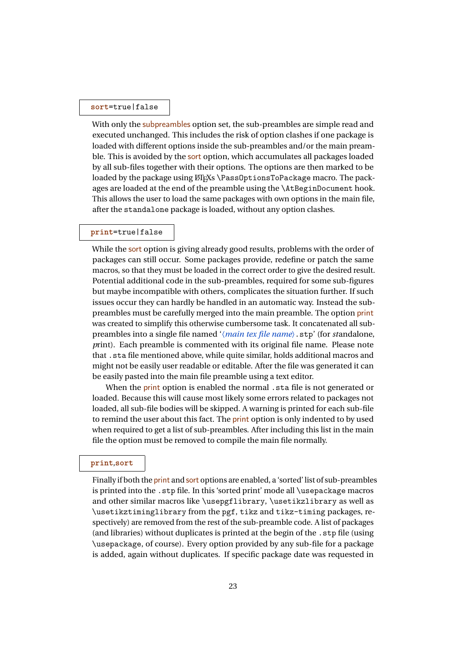## **sort**=true|false

With only the subpreambles option set, the sub-preambles are simple read and executed unchanged. This includes the risk of option clashes if one package is loaded with different options inside the sub-preambles and/or the main preamble. This is avoided by the sort option, which accumulates all packages loaded by all sub-files together with their options. The options are then marked to be loaded by the package using LATEXs \PassOptionsToPackage macro. The packages are loaded at the end of the preamble using the \AtBeginDocument hook. This allows the user to load the same packages with own options in the main file, after the standalone package is loaded, without any option clashes.

#### **print**=true|false

While the sort option is giving already good results, problems with the order of packages can still occur. Some packages provide, redefine or patch the same macros, so that they must be loaded in the correct order to give the desired result. Potential additional code in the sub-preambles, required for some sub-figures but maybe incompatible with others, complicates the situation further. If such issues occur they can hardly be handled in an automatic way. Instead the subpreambles must be carefully merged into the main preamble. The option print was created to simplify this otherwise cumbersome task. It concatenated all subpreambles into a single file named '〈*main tex file name*〉.stp' (for *st*andalone, *p*rint). Each preamble is commented with its original file name. Please note that .sta file mentioned above, while quite similar, holds additional macros and might not be easily user readable or editable. After the file was generated it can be easily pasted into the main file preamble using a text editor.

When the print option is enabled the normal . sta file is not generated or loaded. Because this will cause most likely some errors related to packages not loaded, all sub-file bodies will be skipped. A warning is printed for each sub-file to remind the user about this fact. The print option is only indented to by used when required to get a list of sub-preambles. After including this list in the main file the option must be removed to compile the main file normally.

#### **print**,**sort**

Finally if both the print and sort options are enabled, a 'sorted' list of sub-preambles is printed into the .stp file. In this 'sorted print' mode all \usepackage macros and other similar macros like \usepgflibrary, \usetikzlibrary as well as \usetikztiminglibrary from the pgf, tikz and tikz-timing packages, respectively) are removed from the rest of the sub-preamble code. A list of packages (and libraries) without duplicates is printed at the begin of the .stp file (using \usepackage, of course). Every option provided by any sub-file for a package is added, again without duplicates. If specific package date was requested in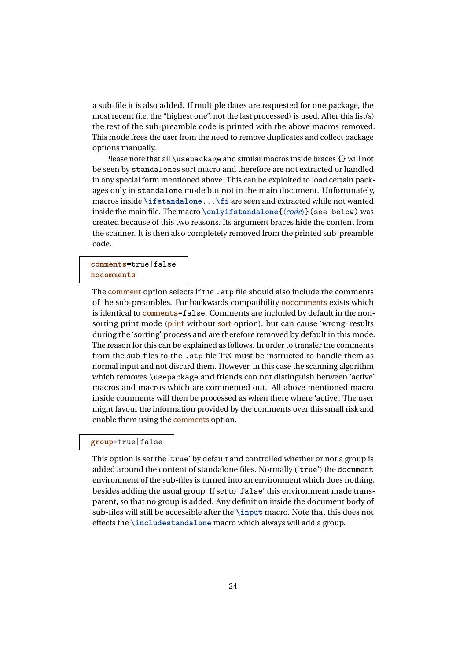a sub-file it is also added. If multiple dates are requested for one package, the most recent (i.e. the "highest one", not the last processed) is used. After this list(s) the rest of the sub-preamble code is printed with the above macros removed. This mode frees the user from the need to remove duplicates and collect package options manually.

Please note that all \usepackage and similar macros inside braces {} will not be seen by standalones sort macro and therefore are not extracted or handled in any special form mentioned above. This can be exploited to load certain packages only in standalone mode but not in the main document. Unfortunately, macros inside **\ifstandalone**...**\fi** are seen and extracted while not wanted inside the main file. The macro **\onlyifstandalone**{〈*code*〉}(see below) was created because of this two reasons. Its argument braces hide the content from the scanner. It is then also completely removed from the printed sub-preamble code.

#### **comments**=true|false **nocomments**

The comment option selects if the .stp file should also include the comments of the sub-preambles. For backwards compatibility nocomments exists which is identical to **comments**=false. Comments are included by default in the nonsorting print mode (print without sort option), but can cause 'wrong' results during the 'sorting' process and are therefore removed by default in this mode. The reason for this can be explained as follows. In order to transfer the comments from the sub-files to the .stp file T<sub>E</sub>X must be instructed to handle them as normal input and not discard them. However, in this case the scanning algorithm which removes \usepackage and friends can not distinguish between 'active' macros and macros which are commented out. All above mentioned macro inside comments will then be processed as when there where 'active'. The user might favour the information provided by the comments over this small risk and enable them using the comments option.

#### **group**=true|false

This option is set the 'true' by default and controlled whether or not a group is added around the content of standalone files. Normally ('true') the document environment of the sub-files is turned into an environment which does nothing, besides adding the usual group. If set to 'false' this environment made transparent, so that no group is added. Any definition inside the document body of sub-files will still be accessible after the **\input** macro. Note that this does not effects the **\includestandalone** macro which always will add a group.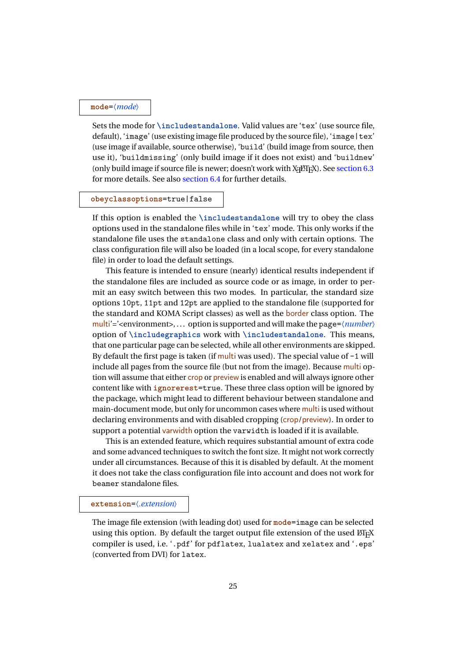### **mode**=〈*mode*〉

Sets the mode for **\includestandalone**. Valid values are 'tex' (use source file, default), 'image' (use existing image file produced by the source file), 'image|tex' (use image if available, source otherwise), 'build' (build image from source, then use it), 'buildmissing' (only build image if it does not exist) and 'buildnew' (only build image if source file is newer; doesn't work with X<sub>H</sub>AT<sub>E</sub>X). See [section 6.3](#page-25-0) for more details. See also [section 6.4](#page-25-1) for further details.

#### **obeyclassoptions**=true|false

If this option is enabled the **\includestandalone** will try to obey the class options used in the standalone files while in 'tex' mode. This only works if the standalone file uses the standalone class and only with certain options. The class configuration file will also be loaded (in a local scope, for every standalone file) in order to load the default settings.

This feature is intended to ensure (nearly) identical results independent if the standalone files are included as source code or as image, in order to permit an easy switch between this two modes. In particular, the standard size options 10pt, 11pt and 12pt are applied to the standalone file (supported for the standard and KOMA Script classes) as well as the border class option. The multi'='<environment>, . . . option is supported and will make the page=〈*number*〉 option of **\includegraphics** work with **\includestandalone**. This means, that one particular page can be selected, while all other environments are skipped. By default the first page is taken (if multi was used). The special value of  $-1$  will include all pages from the source file (but not from the image). Because multi option will assume that either crop or preview is enabled and will always ignore other content like with **ignorerest**=true. These three class option will be ignored by the package, which might lead to different behaviour between standalone and main-document mode, but only for uncommon cases where multi is used without declaring environments and with disabled cropping (crop/preview). In order to support a potential varwidth option the varwidth is loaded if it is available.

This is an extended feature, which requires substantial amount of extra code and some advanced techniques to switch the font size. It might not work correctly under all circumstances. Because of this it is disabled by default. At the moment it does not take the class configuration file into account and does not work for beamer standalone files.

#### **extension**=〈*.extension*〉

The image file extension (with leading dot) used for **mode**=image can be selected using this option. By default the target output file extension of the used LTFX compiler is used, i.e. '.pdf' for pdflatex, lualatex and xelatex and '.eps' (converted from DVI) for latex.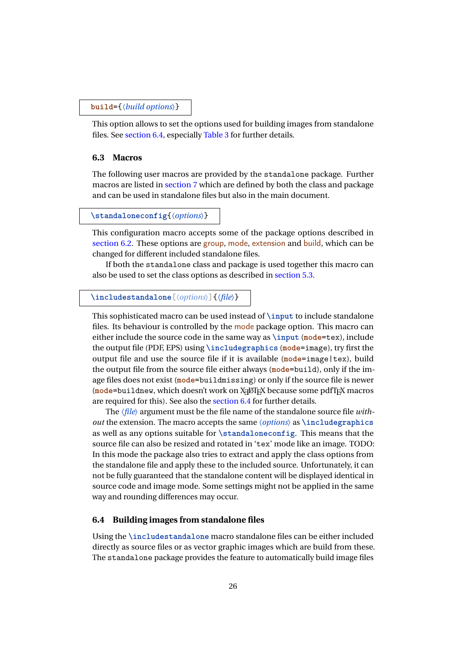#### **build**={〈*build options*〉}

This option allows to set the options used for building images from standalone files. See [section 6.4,](#page-25-1) especially [Table 3](#page-27-0) for further details.

#### <span id="page-25-0"></span>**6.3 Macros**

The following user macros are provided by the standalone package. Further macros are listed in [section 7](#page-26-0) which are defined by both the class and package and can be used in standalone files but also in the main document.

```
\standaloneconfig{〈options〉}
```
This configuration macro accepts some of the package options described in [section 6.2.](#page-21-2) These options are group, mode, extension and build, which can be changed for different included standalone files.

If both the standalone class and package is used together this macro can also be used to set the class options as described in [section 5.3.](#page-11-0)

**\includestandalone**[〈*options*〉]{〈*file*〉}

This sophisticated macro can be used instead of **\input** to include standalone files. Its behaviour is controlled by the mode package option. This macro can either include the source code in the same way as **\input** (**mode**=tex), include the output file (PDF, EPS) using **\includegraphics** (**mode**=image), try first the output file and use the source file if it is available (**mode**=image|tex), build the output file from the source file either always (**mode**=build), only if the image files does not exist (**mode**=buildmissing) or only if the source file is newer (**mode=**buildnew, which doesn't work on X<sub>I</sub>LATEX because some pdfTEX macros are required for this). See also the [section 6.4](#page-25-1) for further details.

The 〈*file*〉 argument must be the file name of the standalone source file *without* the extension. The macro accepts the same 〈*options*〉 as **\includegraphics** as well as any options suitable for **\standaloneconfig**. This means that the source file can also be resized and rotated in 'tex' mode like an image. TODO: In this mode the package also tries to extract and apply the class options from the standalone file and apply these to the included source. Unfortunately, it can not be fully guaranteed that the standalone content will be displayed identical in source code and image mode. Some settings might not be applied in the same way and rounding differences may occur.

#### <span id="page-25-1"></span>**6.4 Building images from standalone files**

Using the **\includestandalone** macro standalone files can be either included directly as source files or as vector graphic images which are build from these. The standalone package provides the feature to automatically build image files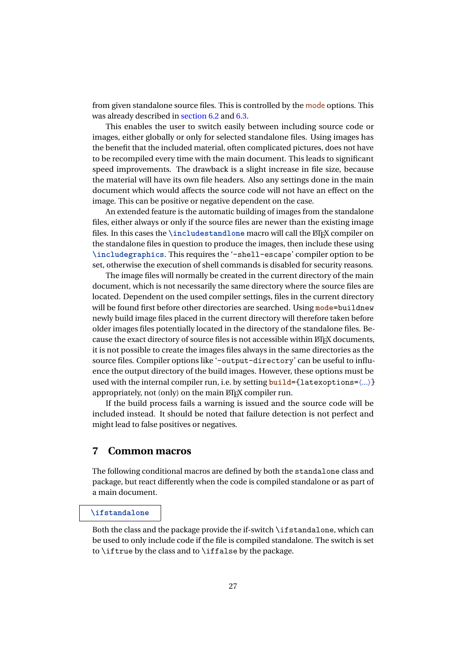from given standalone source files. This is controlled by the mode options. This was already described in [section 6.2](#page-21-2) and [6.3.](#page-25-0)

This enables the user to switch easily between including source code or images, either globally or only for selected standalone files. Using images has the benefit that the included material, often complicated pictures, does not have to be recompiled every time with the main document. This leads to significant speed improvements. The drawback is a slight increase in file size, because the material will have its own file headers. Also any settings done in the main document which would affects the source code will not have an effect on the image. This can be positive or negative dependent on the case.

An extended feature is the automatic building of images from the standalone files, either always or only if the source files are newer than the existing image files. In this cases the **\includestandlone** macro will call the LATEX compiler on the standalone files in question to produce the images, then include these using **\includegraphics**. This requires the '-shell-escape' compiler option to be set, otherwise the execution of shell commands is disabled for security reasons.

The image files will normally be created in the current directory of the main document, which is not necessarily the same directory where the source files are located. Dependent on the used compiler settings, files in the current directory will be found first before other directories are searched. Using **mode**=buildnew newly build image files placed in the current directory will therefore taken before older images files potentially located in the directory of the standalone files. Because the exact directory of source files is not accessible within ETEX documents, it is not possible to create the images files always in the same directories as the source files. Compiler options like '-output-directory' can be useful to influence the output directory of the build images. However, these options must be used with the internal compiler run, i.e. by setting **build**={latexoptions= $\langle ...\rangle$ } appropriately, not (only) on the main  $E_{\text{F}}X$  compiler run.

If the build process fails a warning is issued and the source code will be included instead. It should be noted that failure detection is not perfect and might lead to false positives or negatives.

## <span id="page-26-0"></span>**7 Common macros**

The following conditional macros are defined by both the standalone class and package, but react differently when the code is compiled standalone or as part of a main document.

#### **\ifstandalone**

Both the class and the package provide the if-switch \ifstandalone, which can be used to only include code if the file is compiled standalone. The switch is set to \iftrue by the class and to \iffalse by the package.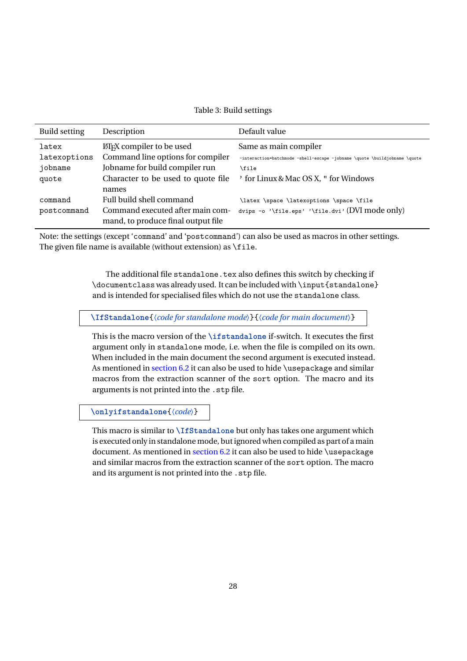#### Table 3: Build settings

<span id="page-27-0"></span>

| <b>Build setting</b> | Description                            | Default value                                                             |
|----------------------|----------------------------------------|---------------------------------------------------------------------------|
| latex                | LAT <sub>E</sub> X compiler to be used | Same as main compiler                                                     |
| latexoptions         | Command line options for compiler      | -interaction=batchmode -shell-escape -jobname \quote \buildjobname \quote |
| jobname              | Jobname for build compiler run         | <b>\file</b>                                                              |
| quote                | Character to be used to quote file     | ' for Linux & Mac OS X, " for Windows                                     |
|                      | names                                  |                                                                           |
| command              | Full build shell command               | \latex \space \latexoptions \space \file                                  |
| postcommand          | Command executed after main com-       | dvips -o '\file.eps' '\file.dvi' (DVI mode only)                          |
|                      | mand, to produce final output file     |                                                                           |

Note: the settings (except 'command' and 'postcommand') can also be used as macros in other settings. The given file name is available (without extension) as \file.

> The additional file standalone.tex also defines this switch by checking if \documentclass was already used. It can be included with \input{standalone} and is intended for specialised files which do not use the standalone class.

**\IfStandalone**{〈*code for standalone mode*〉}{〈*code for main document*〉}

This is the macro version of the **\ifstandalone** if-switch. It executes the first argument only in standalone mode, i.e. when the file is compiled on its own. When included in the main document the second argument is executed instead. As mentioned in [section 6.2](#page-21-2) it can also be used to hide \usepackage and similar macros from the extraction scanner of the sort option. The macro and its arguments is not printed into the .stp file.

**\onlyifstandalone**{〈*code*〉}

This macro is similar to **\IfStandalone** but only has takes one argument which is executed only in standalone mode, but ignored when compiled as part of a main document. As mentioned in [section 6.2](#page-21-2) it can also be used to hide \usepackage and similar macros from the extraction scanner of the sort option. The macro and its argument is not printed into the .stp file.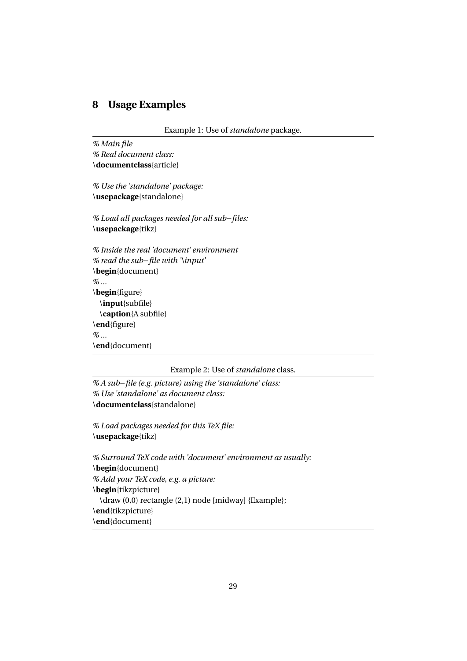## <span id="page-28-0"></span>**8 Usage Examples**

Example 1: Use of *standalone* package.

*% Main file % Real document class:* \**documentclass**{article}

*% Use the 'standalone' package:* \**usepackage**{standalone}

*% Load all packages needed for all sub*−*files:* \**usepackage**{tikz}

*% Inside the real 'document' environment % read the sub*−*file with '\input'* \**begin**{document} *% ...* \**begin**{figure} \**input**{subfile} \**caption**{A subfile} \**end**{figure} *% ...* \**end**{document}

#### Example 2: Use of *standalone* class.

*% A sub*−*file (e.g. picture) using the 'standalone' class: % Use 'standalone' as document class:* \**documentclass**{standalone}

*% Load packages needed for this TeX file:* \**usepackage**{tikz}

*% Surround TeX code with 'document' environment as usually:* \**begin**{document} *% Add your TeX code, e.g. a picture:* \**begin**{tikzpicture} \draw (0,0) rectangle (2,1) node [midway] {Example}; \**end**{tikzpicture} \**end**{document}